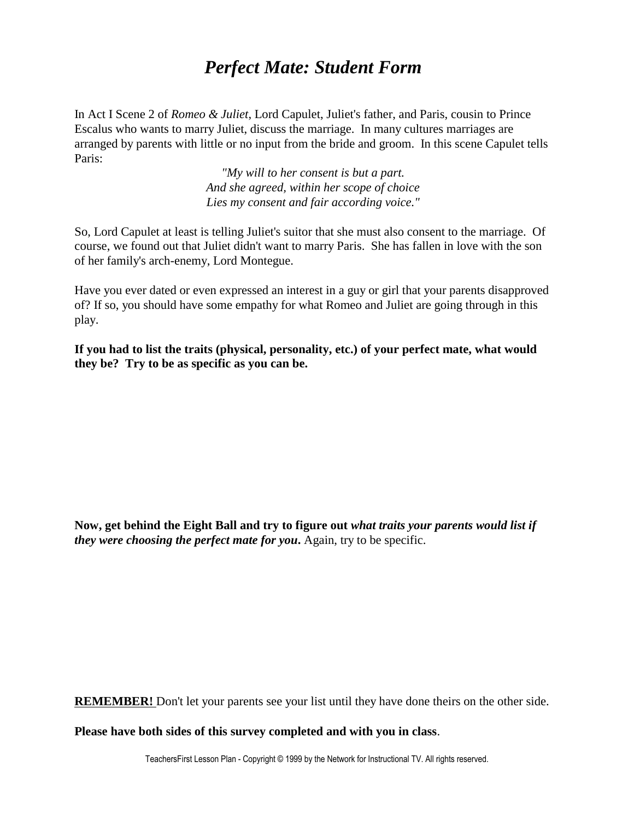## *Perfect Mate: Student Form*

In Act I Scene 2 of *Romeo & Juliet*, Lord Capulet, Juliet's father, and Paris, cousin to Prince Escalus who wants to marry Juliet, discuss the marriage. In many cultures marriages are arranged by parents with little or no input from the bride and groom. In this scene Capulet tells Paris:

> *"My will to her consent is but a part. And she agreed, within her scope of choice Lies my consent and fair according voice."*

So, Lord Capulet at least is telling Juliet's suitor that she must also consent to the marriage. Of course, we found out that Juliet didn't want to marry Paris. She has fallen in love with the son of her family's arch-enemy, Lord Montegue.

Have you ever dated or even expressed an interest in a guy or girl that your parents disapproved of? If so, you should have some empathy for what Romeo and Juliet are going through in this play.

**If you had to list the traits (physical, personality, etc.) of your perfect mate, what would they be? Try to be as specific as you can be.**

**Now, get behind the Eight Ball and try to figure out** *what traits your parents would list if they were choosing the perfect mate for you*. Again, try to be specific.

**REMEMBER!** Don't let your parents see your list until they have done theirs on the other side.

**Please have both sides of this survey completed and with you in class**.

TeachersFirst Lesson Plan - Copyright © 1999 by the Network for Instructional TV. All rights reserved.